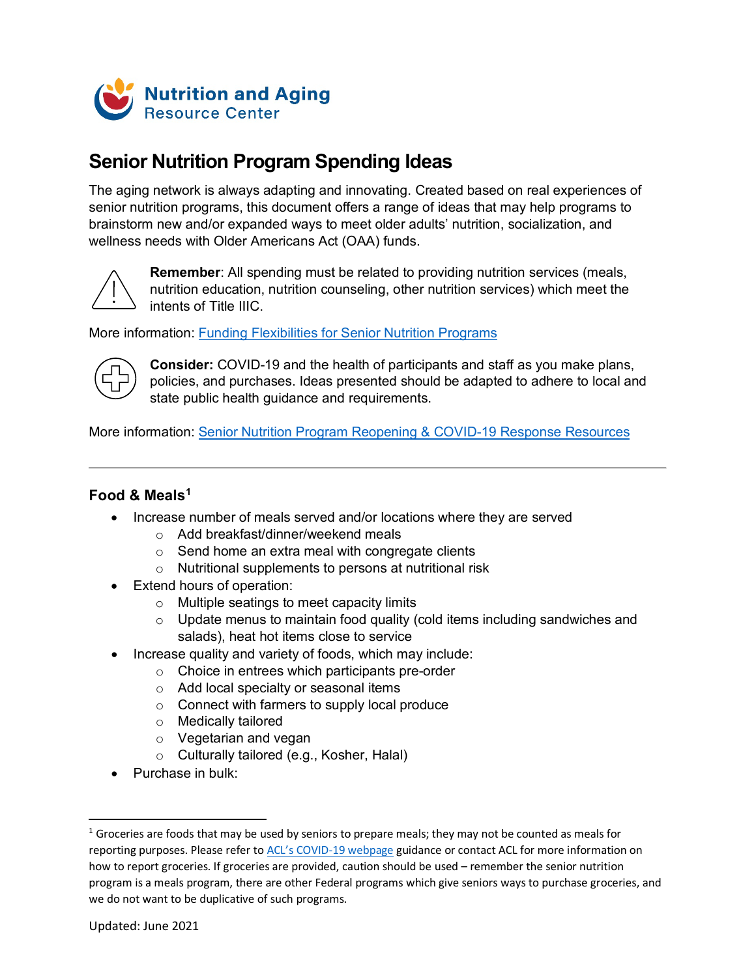

# **Senior Nutrition Program Spending Ideas**

The aging network is always adapting and innovating. Created based on real experiences of senior nutrition programs, this document offers a range of ideas that may help programs to brainstorm new and/or expanded ways to meet older adults' nutrition, socialization, and wellness needs with Older Americans Act (OAA) funds.



**Remember**: All spending must be related to providing nutrition services (meals, nutrition education, nutrition counseling, other nutrition services) which meet the intents of Title IIIC.

More information: Funding [Flexibilities for Senior Nutrition Programs](https://acl.gov/sites/default/files/nutrition/SNP_FundingFlexibilities_2021OCT.pdf)



**Consider:** COVID-19 and the health of participants and staff as you make plans, policies, and purchases. Ideas presented should be adapted to adhere to local and state public health guidance and requirements.

More information: [Senior Nutrition Program Reopening](https://acl.gov/SeniorNutrition/Resources) & COVID-19 Response Resources

## **Food & Meals[1](#page-0-0)**

- Increase number of meals served and/or locations where they are served
	- o Add breakfast/dinner/weekend meals
	- $\circ$  Send home an extra meal with congregate clients
	- o Nutritional supplements to persons at nutritional risk
- Extend hours of operation:
	- o Multiple seatings to meet capacity limits
	- $\circ$  Update menus to maintain food quality (cold items including sandwiches and salads), heat hot items close to service
- Increase quality and variety of foods, which may include:
	- o Choice in entrees which participants pre-order
	- o Add local specialty or seasonal items
	- o Connect with farmers to supply local produce
	- o Medically tailored
	- o Vegetarian and vegan
	- o Culturally tailored (e.g., Kosher, Halal)
- Purchase in bulk:

<span id="page-0-0"></span> $1$  Groceries are foods that may be used by seniors to prepare meals; they may not be counted as meals for reporting purposes. Please refer to [ACL's COVID-19 webpage](https://acl.gov/COVID-19) guidance or contact ACL for more information on how to report groceries. If groceries are provided, caution should be used – remember the senior nutrition program is a meals program, there are other Federal programs which give seniors ways to purchase groceries, and we do not want to be duplicative of such programs.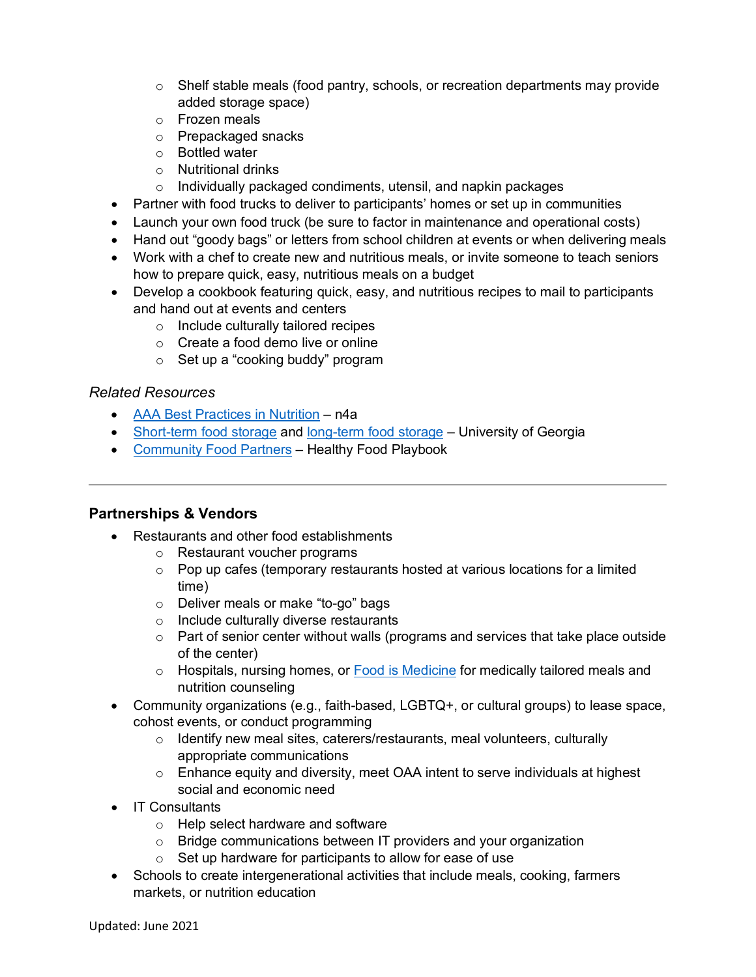- $\circ$  Shelf stable meals (food pantry, schools, or recreation departments may provide added storage space)
- o Frozen meals
- o Prepackaged snacks
- o Bottled water
- o Nutritional drinks
- o Individually packaged condiments, utensil, and napkin packages
- Partner with food trucks to deliver to participants' homes or set up in communities
- Launch your own food truck (be sure to factor in maintenance and operational costs)
- Hand out "goody bags" or letters from school children at events or when delivering meals
- Work with a chef to create new and nutritious meals, or invite someone to teach seniors how to prepare quick, easy, nutritious meals on a budget
- Develop a cookbook featuring quick, easy, and nutritious recipes to mail to participants and hand out at events and centers
	- o Include culturally tailored recipes
	- o Create a food demo live or online
	- o Set up a "cooking buddy" program

- AAA [Best Practices in Nutrition](https://www.n4a.org/content.asp?contentid=373) n4a
- [Short-term food storage](https://www.fcs.uga.edu/extension/preparing-an-emergency-food-supply-short-term-food-storage) and [long-term food storage](https://www.fcs.uga.edu/extension/preparing-an-emergency-food-supply-long-term-food-storage) University of Georgia
- [Community Food Partners](https://foodcommunitybenefit.noharm.org/resources/implementation-strategy/identifying-community-partners) Healthy Food Playbook

# **Partnerships & Vendors**

- Restaurants and other food establishments
	- o Restaurant voucher programs
	- $\circ$  Pop up cafes (temporary restaurants hosted at various locations for a limited time)
	- o Deliver meals or make "to-go" bags
	- o Include culturally diverse restaurants
	- o Part of senior center without walls (programs and services that take place outside of the center)
	- o Hospitals, nursing homes, or [Food is Medicine](http://www.fimcoalition.org/) for medically tailored meals and nutrition counseling
- Community organizations (e.g., faith-based, LGBTQ+, or cultural groups) to lease space, cohost events, or conduct programming
	- o Identify new meal sites, caterers/restaurants, meal volunteers, culturally appropriate communications
	- o Enhance equity and diversity, meet OAA intent to serve individuals at highest social and economic need
- IT Consultants
	- o Help select hardware and software
	- o Bridge communications between IT providers and your organization
	- $\circ$  Set up hardware for participants to allow for ease of use
- Schools to create intergenerational activities that include meals, cooking, farmers markets, or nutrition education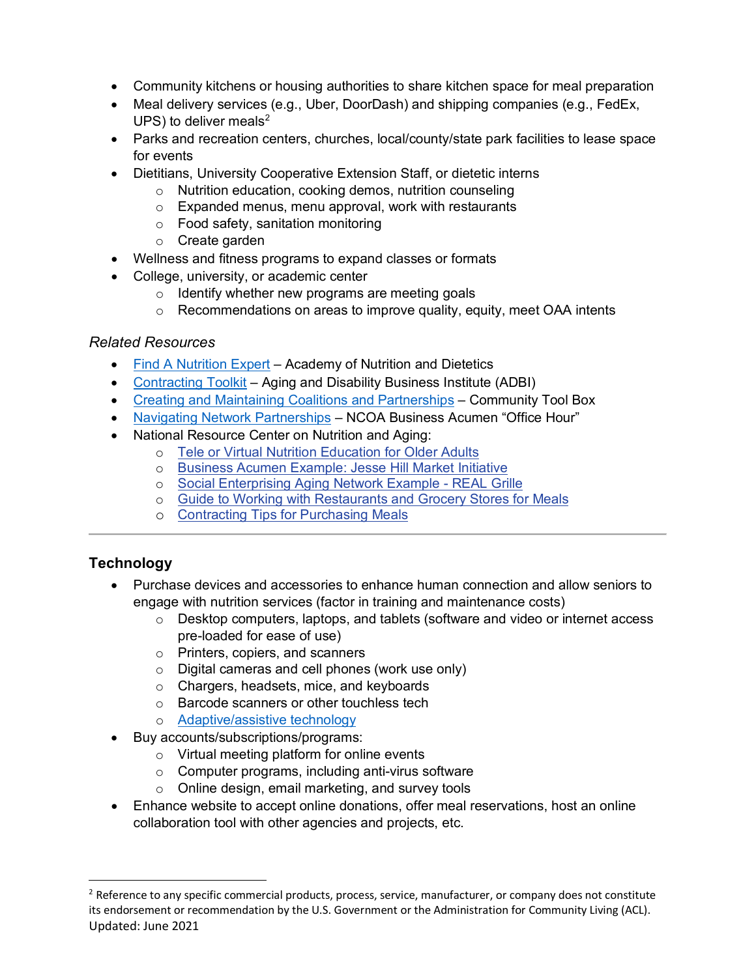- Community kitchens or housing authorities to share kitchen space for meal preparation
- Meal delivery services (e.g., Uber, DoorDash) and shipping companies (e.g., FedEx, UPS) to deliver meals $2$
- Parks and recreation centers, churches, local/county/state park facilities to lease space for events
- Dietitians, University Cooperative Extension Staff, or dietetic interns
	- o Nutrition education, cooking demos, nutrition counseling
	- $\circ$  Expanded menus, menu approval, work with restaurants
	- o Food safety, sanitation monitoring
	- o Create garden
- Wellness and fitness programs to expand classes or formats
- College, university, or academic center
	- $\circ$  Identify whether new programs are meeting goals
	- $\circ$  Recommendations on areas to improve quality, equity, meet OAA intents

- [Find A Nutrition Expert](https://www.eatright.org/find-a-nutrition-expert) Academy of Nutrition and Dietetics
- [Contracting Toolkit](https://www.aginganddisabilitybusinessinstitute.org/adbi-resource/contracting-toolkit/) Aging and Disability Business Institute (ADBI)
- [Creating and Maintaining Coalitions and Partnerships](https://ctb.ku.edu/en/creating-and-maintaining-coalitions-and-partnerships) Community Tool Box
- [Navigating Network Partnerships](https://www.ncoa.org/article/business-acumen-office-hour-navigating-network-partnerships) NCOA Business Acumen "Office Hour"
- National Resource Center on Nutrition and Aging:
	- o [Tele or Virtual Nutrition Education for Older Adults](https://seniornutrition.acl.gov/documents/ServiceProviders/VirtualNutritionEducationOlderAdults_508.pdf)
	- o [Business Acumen Example: Jesse Hill Market Initiative](https://vimeo.com/445675850/f6a03c6fb1)
	- o [Social Enterprising Aging Network Example -](https://seniornutrition.acl.gov/documents/CovidPage/REAL%20Grille%2011.27.2020%20FINAL%20508%20Compliant.docx) REAL Grille
	- o [Guide to Working with Restaurants and Grocery Stores for Meals](https://seniornutrition.acl.gov/documents/StepByStepGuideWorkingwithRestaurantsandGroceryStoresForMeals508.docx)
	- o [Contracting Tips for Purchasing Meals](https://seniornutrition.acl.gov/documents/CovidPage/OptionsContractingMealsCOVID19.pdf)

# **Technology**

- Purchase devices and accessories to enhance human connection and allow seniors to engage with nutrition services (factor in training and maintenance costs)
	- $\circ$  Desktop computers, laptops, and tablets (software and video or internet access pre-loaded for ease of use)
	- o Printers, copiers, and scanners
	- o Digital cameras and cell phones (work use only)
	- o Chargers, headsets, mice, and keyboards
	- o Barcode scanners or other touchless tech
	- o [Adaptive/assistive technology](https://acl.gov/programs/assistive-technology/assistive-technology)
- Buy accounts/subscriptions/programs:
	- o Virtual meeting platform for online events
	- o Computer programs, including anti-virus software
	- o Online design, email marketing, and survey tools
- Enhance website to accept online donations, offer meal reservations, host an online collaboration tool with other agencies and projects, etc.

<span id="page-2-0"></span>Updated: June 2021 <sup>2</sup> Reference to any specific commercial products, process, service, manufacturer, or company does not constitute its endorsement or recommendation by the U.S. Government or the Administration for Community Living (ACL).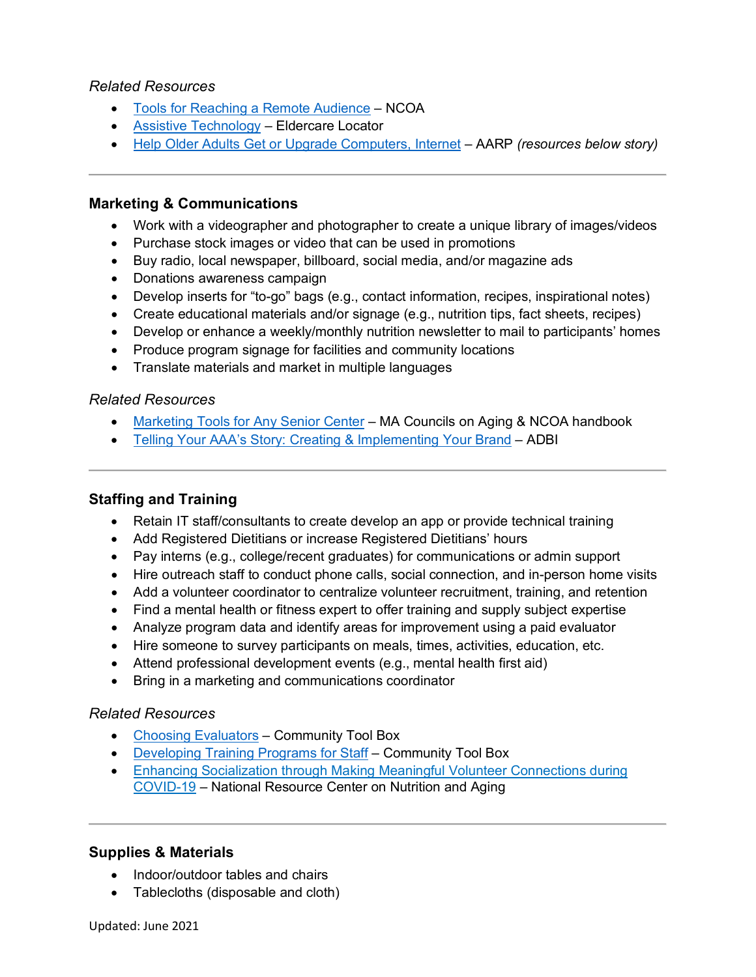- [Tools for Reaching a Remote Audience](https://www.ncoa.org/article/tools-for-reaching-a-remote-audience) NCOA
- [Assistive Technology](https://eldercare.acl.gov/Public/Resources/Factsheets/Assistive_Technology.aspx) Eldercare Locator
- [Help Older Adults Get or Upgrade Computers, Internet](https://www.aarp.org/home-family/personal-technology/info-2021/programs-older-adults-computers-internet-access.html?intcmp=AE-HF-TECH-R1-C3) AARP *(resources below story)*

#### **Marketing & Communications**

- Work with a videographer and photographer to create a unique library of images/videos
- Purchase stock images or video that can be used in promotions
- Buy radio, local newspaper, billboard, social media, and/or magazine ads
- Donations awareness campaign
- Develop inserts for "to-go" bags (e.g., contact information, recipes, inspirational notes)
- Create educational materials and/or signage (e.g., nutrition tips, fact sheets, recipes)
- Develop or enhance a weekly/monthly nutrition newsletter to mail to participants' homes
- Produce program signage for facilities and community locations
- Translate materials and market in multiple languages

#### *Related Resources*

- [Marketing Tools for Any Senior Center](https://mcoaonline.com/wp-content/uploads/2016/11/2017-MCOA-NISC-NSCM-Marketing-Booklet.pdf) MA Councils on Aging & NCOA handbook
- [Telling Your AAA's Story: Creating & Implementing Your Brand](https://www.aginganddisabilitybusinessinstitute.org/adbi-resource/telling-your-aaas-story-a-guide-to-creating-implementing-your-brand/) ADBI

## **Staffing and Training**

- Retain IT staff/consultants to create develop an app or provide technical training
- Add Registered Dietitians or increase Registered Dietitians' hours
- Pay interns (e.g., college/recent graduates) for communications or admin support
- Hire outreach staff to conduct phone calls, social connection, and in-person home visits
- Add a volunteer coordinator to centralize volunteer recruitment, training, and retention
- Find a mental health or fitness expert to offer training and supply subject expertise
- Analyze program data and identify areas for improvement using a paid evaluator
- Hire someone to survey participants on meals, times, activities, education, etc.
- Attend professional development events (e.g., mental health first aid)
- Bring in a marketing and communications coordinator

#### *Related Resources*

- [Choosing Evaluators](https://ctb.ku.edu/en/table-of-contents/evaluate/evaluation/choose-evaluators/main) Community Tool Box
- [Developing Training Programs for Staff](https://ctb.ku.edu/en/table-of-contents/structure/hiring-and-training/training-programs/main) Community Tool Box
- [Enhancing Socialization through Making Meaningful Volunteer Connections during](https://seniornutrition.acl.gov/documents/CovidPage/SocializationThroughVolunteerConnections_508.pdf)  [COVID-19](https://seniornutrition.acl.gov/documents/CovidPage/SocializationThroughVolunteerConnections_508.pdf) – National Resource Center on Nutrition and Aging

#### **Supplies & Materials**

- Indoor/outdoor tables and chairs
- Tablecloths (disposable and cloth)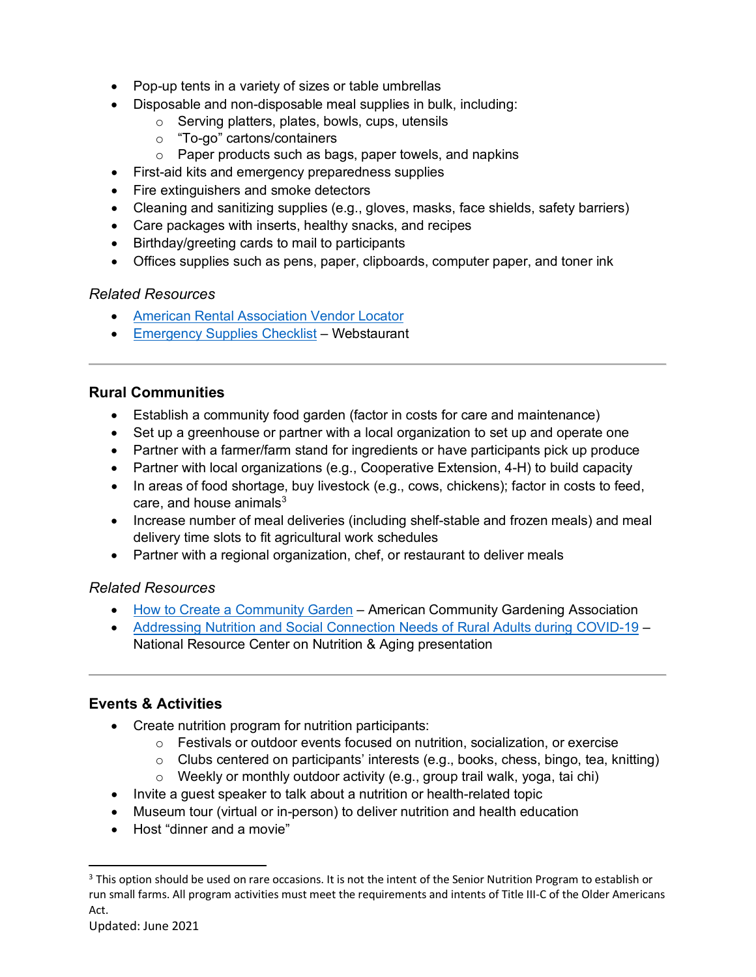- Pop-up tents in a variety of sizes or table umbrellas
- Disposable and non-disposable meal supplies in bulk, including:
	- o Serving platters, plates, bowls, cups, utensils
	- o "To-go" cartons/containers
	- o Paper products such as bags, paper towels, and napkins
- First-aid kits and emergency preparedness supplies
- Fire extinguishers and smoke detectors
- Cleaning and sanitizing supplies (e.g., gloves, masks, face shields, safety barriers)
- Care packages with inserts, healthy snacks, and recipes
- Birthday/greeting cards to mail to participants
- Offices supplies such as pens, paper, clipboards, computer paper, and toner ink

- [American Rental Association Vendor Locator](https://www.ararental.org/Vendor-Locator)
- [Emergency Supplies Checklist](https://cdnimg.webstaurantstore.com/uploads/blog/2020/2/emergency-supplies.pdf) Webstaurant

# **Rural Communities**

- Establish a community food garden (factor in costs for care and maintenance)
- Set up a greenhouse or partner with a local organization to set up and operate one
- Partner with a farmer/farm stand for ingredients or have participants pick up produce
- Partner with local organizations (e.g., Cooperative Extension, 4-H) to build capacity
- In areas of food shortage, buy livestock (e.g., cows, chickens); factor in costs to feed, care, and house animals $3$
- Increase number of meal deliveries (including shelf-stable and frozen meals) and meal delivery time slots to fit agricultural work schedules
- Partner with a regional organization, chef, or restaurant to deliver meals

# *Related Resources*

- [How to Create a Community Garden](https://www.communitygarden.org/resources/e57c1da7-b7e9-4a4b-89a4-e7481f7a19ab) American Community Gardening Association
- [Addressing Nutrition and Social Connection Needs of Rural Adults during COVID-19](https://seniornutrition.acl.gov/documents/AddressingRuralNeeds508.pdf) National Resource Center on Nutrition & Aging presentation

# **Events & Activities**

- Create nutrition program for nutrition participants:
	- $\circ$  Festivals or outdoor events focused on nutrition, socialization, or exercise
	- o Clubs centered on participants' interests (e.g., books, chess, bingo, tea, knitting)
	- o Weekly or monthly outdoor activity (e.g., group trail walk, yoga, tai chi)
- Invite a guest speaker to talk about a nutrition or health-related topic
- Museum tour (virtual or in-person) to deliver nutrition and health education
- Host "dinner and a movie"

<span id="page-4-0"></span><sup>&</sup>lt;sup>3</sup> This option should be used on rare occasions. It is not the intent of the Senior Nutrition Program to establish or run small farms. All program activities must meet the requirements and intents of Title III-C of the Older Americans Act.